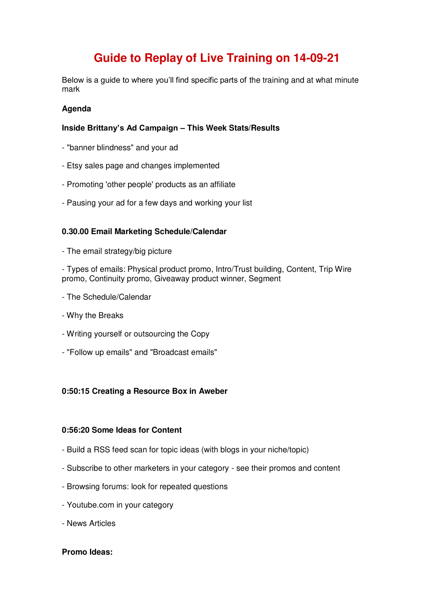# **Guide to Replay of Live Training on 14-09-21**

Below is a guide to where you'll find specific parts of the training and at what minute mark

# **Agenda**

# **Inside Brittany's Ad Campaign – This Week Stats/Results**

- "banner blindness" and your ad
- Etsy sales page and changes implemented
- Promoting 'other people' products as an affiliate
- Pausing your ad for a few days and working your list

### **0.30.00 Email Marketing Schedule/Calendar**

- The email strategy/big picture

- Types of emails: Physical product promo, Intro/Trust building, Content, Trip Wire promo, Continuity promo, Giveaway product winner, Segment

- The Schedule/Calendar
- Why the Breaks
- Writing yourself or outsourcing the Copy
- "Follow up emails" and "Broadcast emails"

#### **0:50:15 Creating a Resource Box in Aweber**

#### **0:56:20 Some Ideas for Content**

- Build a RSS feed scan for topic ideas (with blogs in your niche/topic)
- Subscribe to other marketers in your category see their promos and content
- Browsing forums: look for repeated questions
- Youtube.com in your category
- News Articles

## **Promo Ideas:**